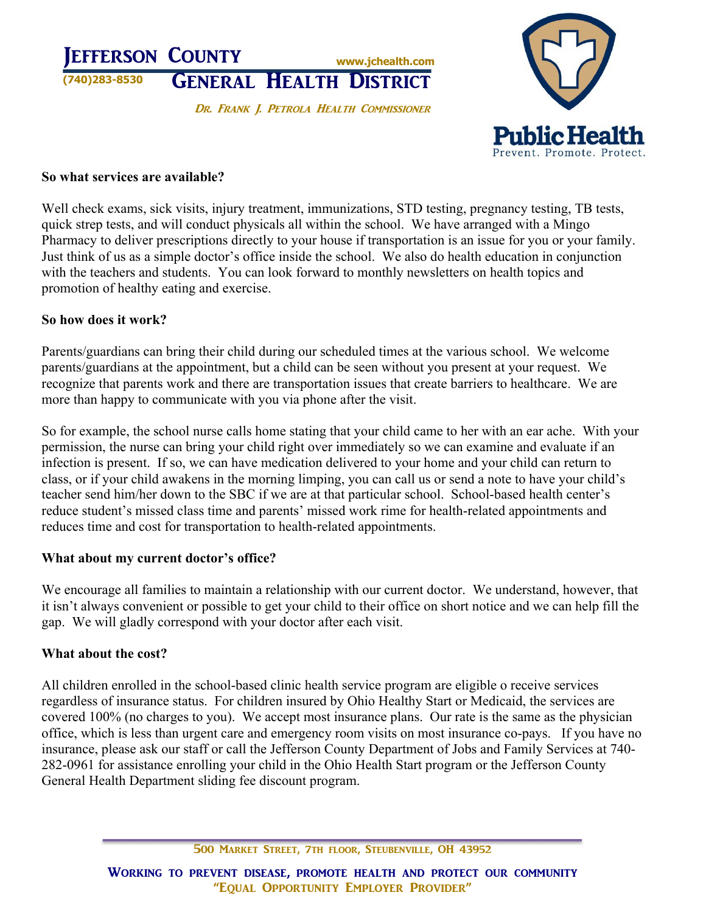



#### **So what services are available?**

Well check exams, sick visits, injury treatment, immunizations, STD testing, pregnancy testing, TB tests, quick strep tests, and will conduct physicals all within the school. We have arranged with a Mingo Pharmacy to deliver prescriptions directly to your house if transportation is an issue for you or your family. Just think of us as a simple doctor's office inside the school. We also do health education in conjunction with the teachers and students. You can look forward to monthly newsletters on health topics and promotion of healthy eating and exercise.

#### **So how does it work?**

Parents/guardians can bring their child during our scheduled times at the various school. We welcome parents/guardians at the appointment, but a child can be seen without you present at your request. We recognize that parents work and there are transportation issues that create barriers to healthcare. We are more than happy to communicate with you via phone after the visit.

So for example, the school nurse calls home stating that your child came to her with an ear ache. With your permission, the nurse can bring your child right over immediately so we can examine and evaluate if an infection is present. If so, we can have medication delivered to your home and your child can return to class, or if your child awakens in the morning limping, you can call us or send a note to have your child's teacher send him/her down to the SBC if we are at that particular school. School-based health center's reduce student's missed class time and parents' missed work rime for health-related appointments and reduces time and cost for transportation to health-related appointments.

# **What about my current doctor's office?**

We encourage all families to maintain a relationship with our current doctor. We understand, however, that it isn't always convenient or possible to get your child to their office on short notice and we can help fill the gap. We will gladly correspond with your doctor after each visit.

# **What about the cost?**

All children enrolled in the school-based clinic health service program are eligible o receive services regardless of insurance status. For children insured by Ohio Healthy Start or Medicaid, the services are covered 100% (no charges to you). We accept most insurance plans. Our rate is the same as the physician office, which is less than urgent care and emergency room visits on most insurance co-pays. If you have no insurance, please ask our staff or call the Jefferson County Department of Jobs and Family Services at 740- 282-0961 for assistance enrolling your child in the Ohio Health Start program or the Jefferson County General Health Department sliding fee discount program.

500 MARKET STREET, 7TH FLOOR, STEUBENVILLE, OH 43952

WORKING TO PREVENT DISEASE, PROMOTE HEALTH AND PROTECT OUR COMMUNITY "EQUAL OPPORTUNITY EMPLOYER PROVIDER"